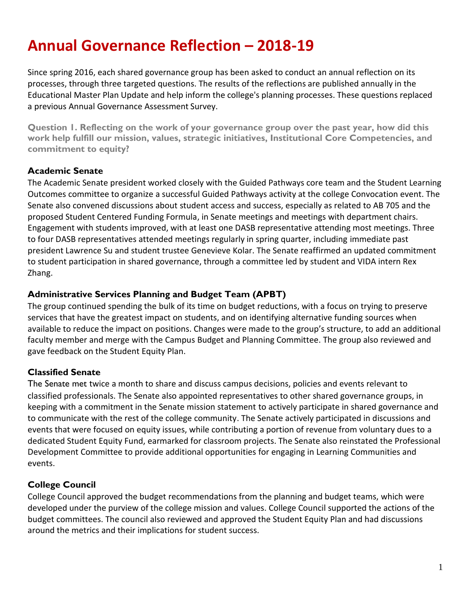# **Annual Governance Reflection – 2018-19**

Since spring 2016, each shared governance group has been asked to conduct an annual reflection on its processes, through three targeted questions. The results of the reflections are published annually in the Educational Master Plan Update and help inform the college's planning processes. These questions replaced a previous Annual Governance Assessment Survey.

**Question 1. Reflecting on the work of your governance group over the past year, how did this work help fulfill our mission, values, strategic initiatives, Institutional Core Competencies, and commitment to equity?**

#### **Academic Senate**

The Academic Senate president worked closely with the Guided Pathways core team and the Student Learning Outcomes committee to organize a successful Guided Pathways activity at the college Convocation event. The Senate also convened discussions about student access and success, especially as related to AB 705 and the proposed Student Centered Funding Formula, in Senate meetings and meetings with department chairs. Engagement with students improved, with at least one DASB representative attending most meetings. Three to four DASB representatives attended meetings regularly in spring quarter, including immediate past president Lawrence Su and student trustee Genevieve Kolar. The Senate reaffirmed an updated commitment to student participation in shared governance, through a committee led by student and VIDA intern Rex Zhang.

#### **Administrative Services Planning and Budget Team (APBT)**

The group continued spending the bulk of its time on budget reductions, with a focus on trying to preserve services that have the greatest impact on students, and on identifying alternative funding sources when available to reduce the impact on positions. Changes were made to the group's structure, to add an additional faculty member and merge with the Campus Budget and Planning Committee. The group also reviewed and gave feedback on the Student Equity Plan.

#### **Classified Senate**

The Senate met twice a month to share and discuss campus decisions, policies and events relevant to classified professionals. The Senate also appointed representatives to other shared governance groups, in keeping with a commitment in the Senate mission statement to actively participate in shared governance and to communicate with the rest of the college community. The Senate actively participated in discussions and events that were focused on equity issues, while contributing a portion of revenue from voluntary dues to a dedicated Student Equity Fund, earmarked for classroom projects. The Senate also reinstated the Professional Development Committee to provide additional opportunities for engaging in Learning Communities and events.

#### **College Council**

College Council approved the budget recommendations from the planning and budget teams, which were developed under the purview of the college mission and values. College Council supported the actions of the budget committees. The council also reviewed and approved the Student Equity Plan and had discussions around the metrics and their implications for student success.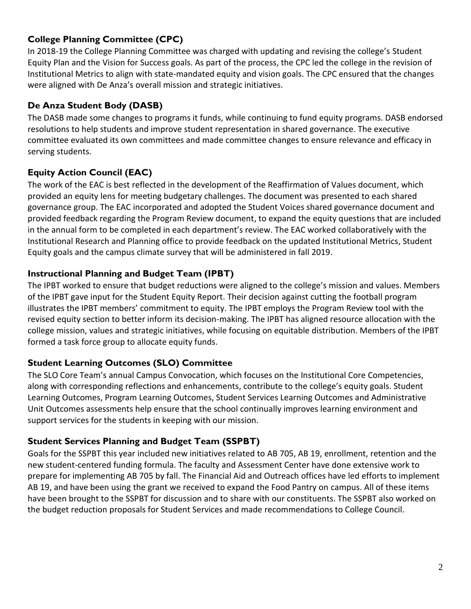## **College Planning Committee (CPC)**

In 2018-19 the College Planning Committee was charged with updating and revising the college's Student Equity Plan and the Vision for Success goals. As part of the process, the CPC led the college in the revision of Institutional Metrics to align with state-mandated equity and vision goals. The CPC ensured that the changes were aligned with De Anza's overall mission and strategic initiatives.

#### **De Anza Student Body (DASB)**

The DASB made some changes to programs it funds, while continuing to fund equity programs. DASB endorsed resolutions to help students and improve student representation in shared governance. The executive committee evaluated its own committees and made committee changes to ensure relevance and efficacy in serving students.

## **Equity Action Council (EAC)**

The work of the EAC is best reflected in the development of the Reaffirmation of Values document, which provided an equity lens for meeting budgetary challenges. The document was presented to each shared governance group. The EAC incorporated and adopted the Student Voices shared governance document and provided feedback regarding the Program Review document, to expand the equity questions that are included in the annual form to be completed in each department's review. The EAC worked collaboratively with the Institutional Research and Planning office to provide feedback on the updated Institutional Metrics, Student Equity goals and the campus climate survey that will be administered in fall 2019.

#### **Instructional Planning and Budget Team (IPBT)**

The IPBT worked to ensure that budget reductions were aligned to the college's mission and values. Members of the IPBT gave input for the Student Equity Report. Their decision against cutting the football program illustrates the IPBT members' commitment to equity. The IPBT employs the Program Review tool with the revised equity section to better inform its decision-making. The IPBT has aligned resource allocation with the college mission, values and strategic initiatives, while focusing on equitable distribution. Members of the IPBT formed a task force group to allocate equity funds.

#### **Student Learning Outcomes (SLO) Committee**

The SLO Core Team's annual Campus Convocation, which focuses on the Institutional Core Competencies, along with corresponding reflections and enhancements, contribute to the college's equity goals. Student Learning Outcomes, Program Learning Outcomes, Student Services Learning Outcomes and Administrative Unit Outcomes assessments help ensure that the school continually improves learning environment and support services for the students in keeping with our mission.

#### **Student Services Planning and Budget Team (SSPBT)**

Goals for the SSPBT this year included new initiatives related to AB 705, AB 19, enrollment, retention and the new student-centered funding formula. The faculty and Assessment Center have done extensive work to prepare for implementing AB 705 by fall. The Financial Aid and Outreach offices have led efforts to implement AB 19, and have been using the grant we received to expand the Food Pantry on campus. All of these items have been brought to the SSPBT for discussion and to share with our constituents. The SSPBT also worked on the budget reduction proposals for Student Services and made recommendations to College Council.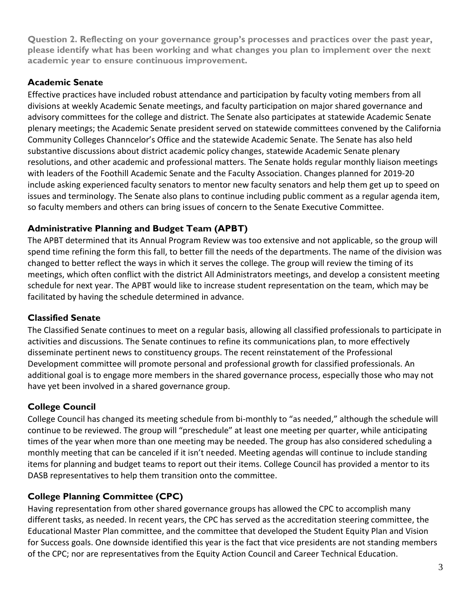**Question 2. Reflecting on your governance group's processes and practices over the past year, please identify what has been working and what changes you plan to implement over the next academic year to ensure continuous improvement.**

## **Academic Senate**

Effective practices have included robust attendance and participation by faculty voting members from all divisions at weekly Academic Senate meetings, and faculty participation on major shared governance and advisory committees for the college and district. The Senate also participates at statewide Academic Senate plenary meetings; the Academic Senate president served on statewide committees convened by the California Community Colleges Channcelor's Office and the statewide Academic Senate. The Senate has also held substantive discussions about district academic policy changes, statewide Academic Senate plenary resolutions, and other academic and professional matters. The Senate holds regular monthly liaison meetings with leaders of the Foothill Academic Senate and the Faculty Association. Changes planned for 2019-20 include asking experienced faculty senators to mentor new faculty senators and help them get up to speed on issues and terminology. The Senate also plans to continue including public comment as a regular agenda item, so faculty members and others can bring issues of concern to the Senate Executive Committee.

# **Administrative Planning and Budget Team (APBT)**

The APBT determined that its Annual Program Review was too extensive and not applicable, so the group will spend time refining the form this fall, to better fill the needs of the departments. The name of the division was changed to better reflect the ways in which it serves the college. The group will review the timing of its meetings, which often conflict with the district All Administrators meetings, and develop a consistent meeting schedule for next year. The APBT would like to increase student representation on the team, which may be facilitated by having the schedule determined in advance.

#### **Classified Senate**

The Classified Senate continues to meet on a regular basis, allowing all classified professionals to participate in activities and discussions. The Senate continues to refine its communications plan, to more effectively disseminate pertinent news to constituency groups. The recent reinstatement of the Professional Development committee will promote personal and professional growth for classified professionals. An additional goal is to engage more members in the shared governance process, especially those who may not have yet been involved in a shared governance group.

## **College Council**

College Council has changed its meeting schedule from bi-monthly to "as needed," although the schedule will continue to be reviewed. The group will "preschedule" at least one meeting per quarter, while anticipating times of the year when more than one meeting may be needed. The group has also considered scheduling a monthly meeting that can be canceled if it isn't needed. Meeting agendas will continue to include standing items for planning and budget teams to report out their items. College Council has provided a mentor to its DASB representatives to help them transition onto the committee.

## **College Planning Committee (CPC)**

Having representation from other shared governance groups has allowed the CPC to accomplish many different tasks, as needed. In recent years, the CPC has served as the accreditation steering committee, the Educational Master Plan committee, and the committee that developed the Student Equity Plan and Vision for Success goals. One downside identified this year is the fact that vice presidents are not standing members of the CPC; nor are representatives from the Equity Action Council and Career Technical Education.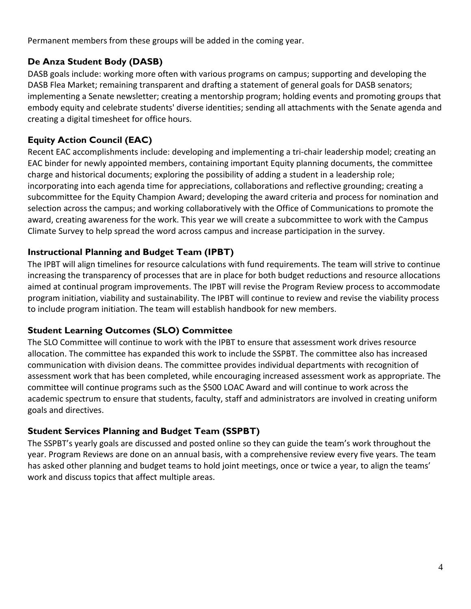Permanent members from these groups will be added in the coming year.

## **De Anza Student Body (DASB)**

DASB goals include: working more often with various programs on campus; supporting and developing the DASB Flea Market; remaining transparent and drafting a statement of general goals for DASB senators; implementing a Senate newsletter; creating a mentorship program; holding events and promoting groups that embody equity and celebrate students' diverse identities; sending all attachments with the Senate agenda and creating a digital timesheet for office hours.

## **Equity Action Council (EAC)**

Recent EAC accomplishments include: developing and implementing a tri-chair leadership model; creating an EAC binder for newly appointed members, containing important Equity planning documents, the committee charge and historical documents; exploring the possibility of adding a student in a leadership role; incorporating into each agenda time for appreciations, collaborations and reflective grounding; creating a subcommittee for the Equity Champion Award; developing the award criteria and process for nomination and selection across the campus; and working collaboratively with the Office of Communications to promote the award, creating awareness for the work. This year we will create a subcommittee to work with the Campus Climate Survey to help spread the word across campus and increase participation in the survey.

## **Instructional Planning and Budget Team (IPBT)**

The IPBT will align timelines for resource calculations with fund requirements. The team will strive to continue increasing the transparency of processes that are in place for both budget reductions and resource allocations aimed at continual program improvements. The IPBT will revise the Program Review process to accommodate program initiation, viability and sustainability. The IPBT will continue to review and revise the viability process to include program initiation. The team will establish handbook for new members.

## **Student Learning Outcomes (SLO) Committee**

The SLO Committee will continue to work with the IPBT to ensure that assessment work drives resource allocation. The committee has expanded this work to include the SSPBT. The committee also has increased communication with division deans. The committee provides individual departments with recognition of assessment work that has been completed, while encouraging increased assessment work as appropriate. The committee will continue programs such as the \$500 LOAC Award and will continue to work across the academic spectrum to ensure that students, faculty, staff and administrators are involved in creating uniform goals and directives.

#### **Student Services Planning and Budget Team (SSPBT)**

The SSPBT's yearly goals are discussed and posted online so they can guide the team's work throughout the year. Program Reviews are done on an annual basis, with a comprehensive review every five years. The team has asked other planning and budget teams to hold joint meetings, once or twice a year, to align the teams' work and discuss topics that affect multiple areas.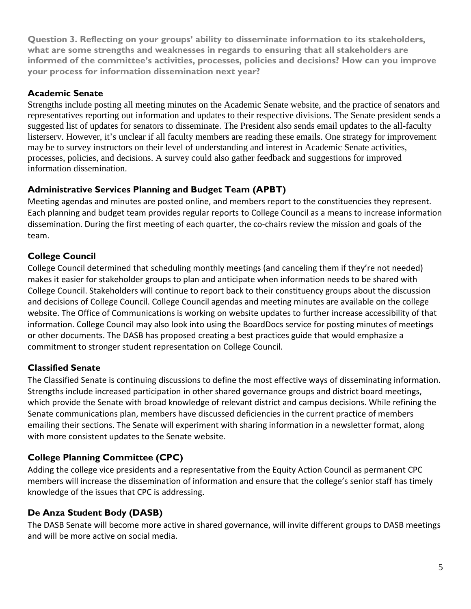**Question 3. Reflecting on your groups' ability to disseminate information to its stakeholders, what are some strengths and weaknesses in regards to ensuring that all stakeholders are informed of the committee's activities, processes, policies and decisions? How can you improve your process for information dissemination next year?** 

#### **Academic Senate**

Strengths include posting all meeting minutes on the Academic Senate website, and the practice of senators and representatives reporting out information and updates to their respective divisions. The Senate president sends a suggested list of updates for senators to disseminate. The President also sends email updates to the all-faculty listerserv. However, it's unclear if all faculty members are reading these emails. One strategy for improvement may be to survey instructors on their level of understanding and interest in Academic Senate activities, processes, policies, and decisions. A survey could also gather feedback and suggestions for improved information dissemination.

## **Administrative Services Planning and Budget Team (APBT)**

Meeting agendas and minutes are posted online, and members report to the constituencies they represent. Each planning and budget team provides regular reports to College Council as a means to increase information dissemination. During the first meeting of each quarter, the co-chairs review the mission and goals of the team.

# **College Council**

College Council determined that scheduling monthly meetings (and canceling them if they're not needed) makes it easier for stakeholder groups to plan and anticipate when information needs to be shared with College Council. Stakeholders will continue to report back to their constituency groups about the discussion and decisions of College Council. College Council agendas and meeting minutes are available on the college website. The Office of Communications is working on website updates to further increase accessibility of that information. College Council may also look into using the BoardDocs service for posting minutes of meetings or other documents. The DASB has proposed creating a best practices guide that would emphasize a commitment to stronger student representation on College Council.

# **Classified Senate**

The Classified Senate is continuing discussions to define the most effective ways of disseminating information. Strengths include increased participation in other shared governance groups and district board meetings, which provide the Senate with broad knowledge of relevant district and campus decisions. While refining the Senate communications plan, members have discussed deficiencies in the current practice of members emailing their sections. The Senate will experiment with sharing information in a newsletter format, along with more consistent updates to the Senate website.

## **College Planning Committee (CPC)**

Adding the college vice presidents and a representative from the Equity Action Council as permanent CPC members will increase the dissemination of information and ensure that the college's senior staff has timely knowledge of the issues that CPC is addressing.

## **De Anza Student Body (DASB)**

The DASB Senate will become more active in shared governance, will invite different groups to DASB meetings and will be more active on social media.